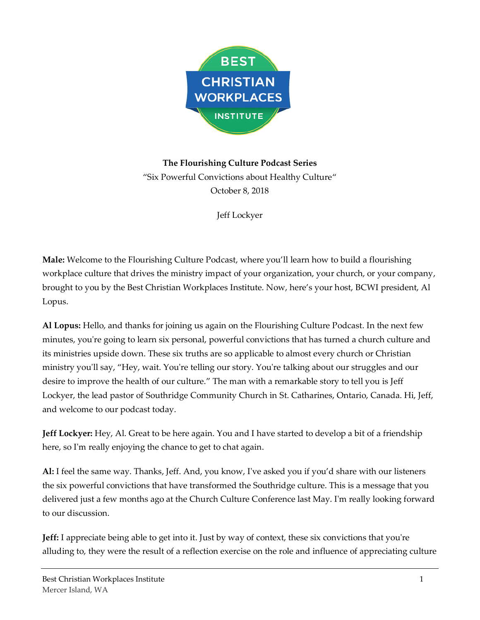

**The Flourishing Culture Podcast Series** "Six Powerful Convictions about Healthy Culture" October 8, 2018

Jeff Lockyer

**Male:** Welcome to the Flourishing Culture Podcast, where you'll learn how to build a flourishing workplace culture that drives the ministry impact of your organization, your church, or your company, brought to you by the Best Christian Workplaces Institute. Now, here's your host, BCWI president, Al Lopus.

**Al Lopus:** Hello, and thanks for joining us again on the Flourishing Culture Podcast. In the next few minutes, you're going to learn six personal, powerful convictions that has turned a church culture and its ministries upside down. These six truths are so applicable to almost every church or Christian ministry you'll say, "Hey, wait. You're telling our story. You're talking about our struggles and our desire to improve the health of our culture." The man with a remarkable story to tell you is Jeff Lockyer, the lead pastor of Southridge Community Church in St. Catharines, Ontario, Canada. Hi, Jeff, and welcome to our podcast today.

**Jeff Lockyer:** Hey, Al. Great to be here again. You and I have started to develop a bit of a friendship here, so I'm really enjoying the chance to get to chat again.

**Al:** I feel the same way. Thanks, Jeff. And, you know, I've asked you if you'd share with our listeners the six powerful convictions that have transformed the Southridge culture. This is a message that you delivered just a few months ago at the Church Culture Conference last May. I'm really looking forward to our discussion.

**Jeff:** I appreciate being able to get into it. Just by way of context, these six convictions that you're alluding to, they were the result of a reflection exercise on the role and influence of appreciating culture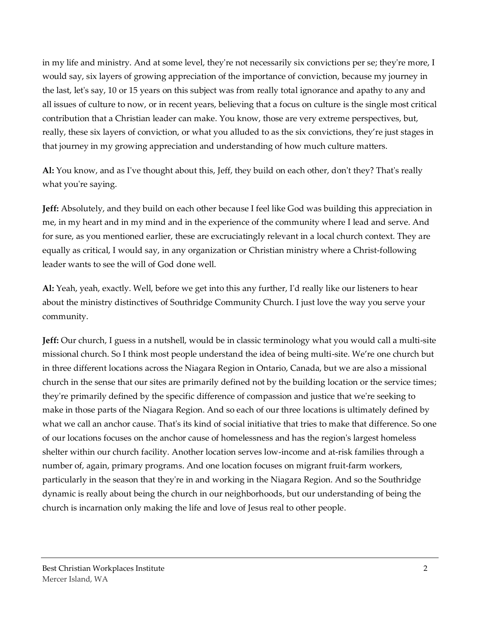in my life and ministry. And at some level, they're not necessarily six convictions per se; they're more, I would say, six layers of growing appreciation of the importance of conviction, because my journey in the last, let's say, 10 or 15 years on this subject was from really total ignorance and apathy to any and all issues of culture to now, or in recent years, believing that a focus on culture is the single most critical contribution that a Christian leader can make. You know, those are very extreme perspectives, but, really, these six layers of conviction, or what you alluded to as the six convictions, they're just stages in that journey in my growing appreciation and understanding of how much culture matters.

**Al:** You know, and as I've thought about this, Jeff, they build on each other, don't they? That's really what you're saying.

**Jeff:** Absolutely, and they build on each other because I feel like God was building this appreciation in me, in my heart and in my mind and in the experience of the community where I lead and serve. And for sure, as you mentioned earlier, these are excruciatingly relevant in a local church context. They are equally as critical, I would say, in any organization or Christian ministry where a Christ-following leader wants to see the will of God done well.

**Al:** Yeah, yeah, exactly. Well, before we get into this any further, I'd really like our listeners to hear about the ministry distinctives of Southridge Community Church. I just love the way you serve your community.

**Jeff:** Our church, I guess in a nutshell, would be in classic terminology what you would call a multi-site missional church. So I think most people understand the idea of being multi-site. We're one church but in three different locations across the Niagara Region in Ontario, Canada, but we are also a missional church in the sense that our sites are primarily defined not by the building location or the service times; they're primarily defined by the specific difference of compassion and justice that we're seeking to make in those parts of the Niagara Region. And so each of our three locations is ultimately defined by what we call an anchor cause. That's its kind of social initiative that tries to make that difference. So one of our locations focuses on the anchor cause of homelessness and has the region's largest homeless shelter within our church facility. Another location serves low-income and at-risk families through a number of, again, primary programs. And one location focuses on migrant fruit-farm workers, particularly in the season that they're in and working in the Niagara Region. And so the Southridge dynamic is really about being the church in our neighborhoods, but our understanding of being the church is incarnation only making the life and love of Jesus real to other people.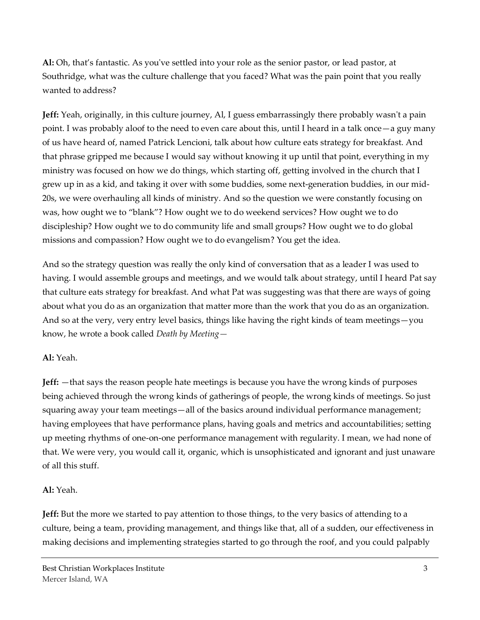**Al:** Oh, that's fantastic. As you've settled into your role as the senior pastor, or lead pastor, at Southridge, what was the culture challenge that you faced? What was the pain point that you really wanted to address?

**Jeff:** Yeah, originally, in this culture journey, Al, I guess embarrassingly there probably wasn't a pain point. I was probably aloof to the need to even care about this, until I heard in a talk once—a guy many of us have heard of, named Patrick Lencioni, talk about how culture eats strategy for breakfast. And that phrase gripped me because I would say without knowing it up until that point, everything in my ministry was focused on how we do things, which starting off, getting involved in the church that I grew up in as a kid, and taking it over with some buddies, some next-generation buddies, in our mid-20s, we were overhauling all kinds of ministry. And so the question we were constantly focusing on was, how ought we to "blank"? How ought we to do weekend services? How ought we to do discipleship? How ought we to do community life and small groups? How ought we to do global missions and compassion? How ought we to do evangelism? You get the idea.

And so the strategy question was really the only kind of conversation that as a leader I was used to having. I would assemble groups and meetings, and we would talk about strategy, until I heard Pat say that culture eats strategy for breakfast. And what Pat was suggesting was that there are ways of going about what you do as an organization that matter more than the work that you do as an organization. And so at the very, very entry level basics, things like having the right kinds of team meetings—you know, he wrote a book called *Death by Meeting—*

# **Al:** Yeah.

**Jeff:** —that says the reason people hate meetings is because you have the wrong kinds of purposes being achieved through the wrong kinds of gatherings of people, the wrong kinds of meetings. So just squaring away your team meetings—all of the basics around individual performance management; having employees that have performance plans, having goals and metrics and accountabilities; setting up meeting rhythms of one-on-one performance management with regularity. I mean, we had none of that. We were very, you would call it, organic, which is unsophisticated and ignorant and just unaware of all this stuff.

### **Al:** Yeah.

**Jeff:** But the more we started to pay attention to those things, to the very basics of attending to a culture, being a team, providing management, and things like that, all of a sudden, our effectiveness in making decisions and implementing strategies started to go through the roof, and you could palpably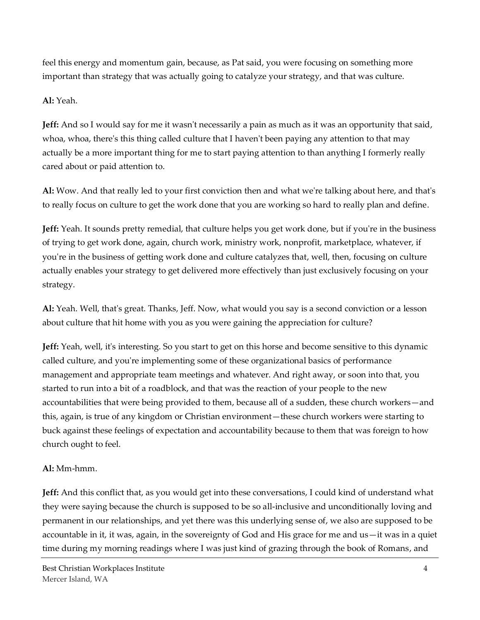feel this energy and momentum gain, because, as Pat said, you were focusing on something more important than strategy that was actually going to catalyze your strategy, and that was culture.

### **Al:** Yeah.

**Jeff:** And so I would say for me it wasn't necessarily a pain as much as it was an opportunity that said, whoa, whoa, there's this thing called culture that I haven't been paying any attention to that may actually be a more important thing for me to start paying attention to than anything I formerly really cared about or paid attention to.

**Al:** Wow. And that really led to your first conviction then and what we're talking about here, and that's to really focus on culture to get the work done that you are working so hard to really plan and define.

**Jeff:** Yeah. It sounds pretty remedial, that culture helps you get work done, but if you're in the business of trying to get work done, again, church work, ministry work, nonprofit, marketplace, whatever, if you're in the business of getting work done and culture catalyzes that, well, then, focusing on culture actually enables your strategy to get delivered more effectively than just exclusively focusing on your strategy.

**Al:** Yeah. Well, that's great. Thanks, Jeff. Now, what would you say is a second conviction or a lesson about culture that hit home with you as you were gaining the appreciation for culture?

**Jeff:** Yeah, well, it's interesting. So you start to get on this horse and become sensitive to this dynamic called culture, and you're implementing some of these organizational basics of performance management and appropriate team meetings and whatever. And right away, or soon into that, you started to run into a bit of a roadblock, and that was the reaction of your people to the new accountabilities that were being provided to them, because all of a sudden, these church workers—and this, again, is true of any kingdom or Christian environment—these church workers were starting to buck against these feelings of expectation and accountability because to them that was foreign to how church ought to feel.

# **Al:** Mm-hmm.

**Jeff:** And this conflict that, as you would get into these conversations, I could kind of understand what they were saying because the church is supposed to be so all-inclusive and unconditionally loving and permanent in our relationships, and yet there was this underlying sense of, we also are supposed to be accountable in it, it was, again, in the sovereignty of God and His grace for me and us—it was in a quiet time during my morning readings where I was just kind of grazing through the book of Romans, and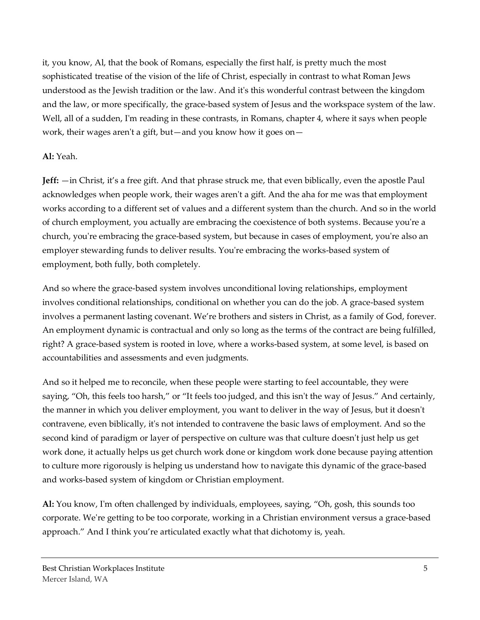it, you know, Al, that the book of Romans, especially the first half, is pretty much the most sophisticated treatise of the vision of the life of Christ, especially in contrast to what Roman Jews understood as the Jewish tradition or the law. And it's this wonderful contrast between the kingdom and the law, or more specifically, the grace-based system of Jesus and the workspace system of the law. Well, all of a sudden, I'm reading in these contrasts, in Romans, chapter 4, where it says when people work, their wages aren't a gift, but—and you know how it goes on—

### **Al:** Yeah.

**Jeff:** —in Christ, it's a free gift. And that phrase struck me, that even biblically, even the apostle Paul acknowledges when people work, their wages aren't a gift. And the aha for me was that employment works according to a different set of values and a different system than the church. And so in the world of church employment, you actually are embracing the coexistence of both systems. Because you're a church, you're embracing the grace-based system, but because in cases of employment, you're also an employer stewarding funds to deliver results. You're embracing the works-based system of employment, both fully, both completely.

And so where the grace-based system involves unconditional loving relationships, employment involves conditional relationships, conditional on whether you can do the job. A grace-based system involves a permanent lasting covenant. We're brothers and sisters in Christ, as a family of God, forever. An employment dynamic is contractual and only so long as the terms of the contract are being fulfilled, right? A grace-based system is rooted in love, where a works-based system, at some level, is based on accountabilities and assessments and even judgments.

And so it helped me to reconcile, when these people were starting to feel accountable, they were saying, "Oh, this feels too harsh," or "It feels too judged, and this isn't the way of Jesus." And certainly, the manner in which you deliver employment, you want to deliver in the way of Jesus, but it doesn't contravene, even biblically, it's not intended to contravene the basic laws of employment. And so the second kind of paradigm or layer of perspective on culture was that culture doesn't just help us get work done, it actually helps us get church work done or kingdom work done because paying attention to culture more rigorously is helping us understand how to navigate this dynamic of the grace-based and works-based system of kingdom or Christian employment.

**Al:** You know, I'm often challenged by individuals, employees, saying, "Oh, gosh, this sounds too corporate. We're getting to be too corporate, working in a Christian environment versus a grace-based approach." And I think you're articulated exactly what that dichotomy is, yeah.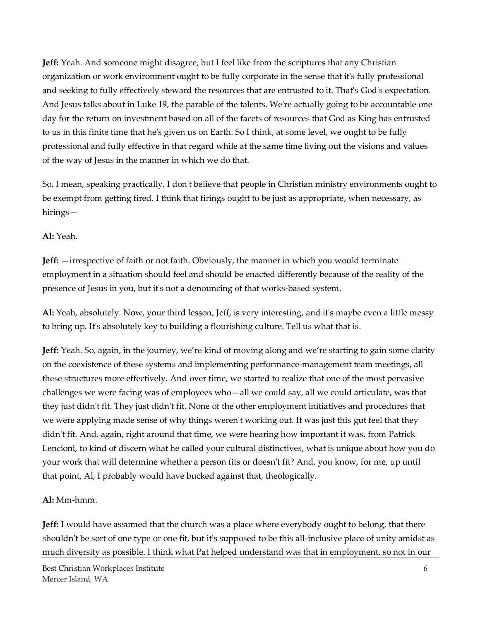**Jeff:** Yeah. And someone might disagree, but I feel like from the scriptures that any Christian organization or work environment ought to be fully corporate in the sense that it's fully professional and seeking to fully effectively steward the resources that are entrusted to it. That's God's expectation. And Jesus talks about in Luke 19, the parable of the talents. We're actually going to be accountable one day for the return on investment based on all of the facets of resources that God as King has entrusted to us in this finite time that he's given us on Earth. So I think, at some level, we ought to be fully professional and fully effective in that regard while at the same time living out the visions and values of the way of Jesus in the manner in which we do that.

So, I mean, speaking practically, I don't believe that people in Christian ministry environments ought to be exempt from getting fired. I think that firings ought to be just as appropriate, when necessary, as hirings—

### **Al:** Yeah.

**Jeff:** —irrespective of faith or not faith. Obviously, the manner in which you would terminate employment in a situation should feel and should be enacted differently because of the reality of the presence of Jesus in you, but it's not a denouncing of that works-based system.

**Al:** Yeah, absolutely. Now, your third lesson, Jeff, is very interesting, and it's maybe even a little messy to bring up. It's absolutely key to building a flourishing culture. Tell us what that is.

**Jeff:** Yeah. So, again, in the journey, we're kind of moving along and we're starting to gain some clarity on the coexistence of these systems and implementing performance-management team meetings, all these structures more effectively. And over time, we started to realize that one of the most pervasive challenges we were facing was of employees who—all we could say, all we could articulate, was that they just didn't fit. They just didn't fit. None of the other employment initiatives and procedures that we were applying made sense of why things weren't working out. It was just this gut feel that they didn't fit. And, again, right around that time, we were hearing how important it was, from Patrick Lencioni, to kind of discern what he called your cultural distinctives, what is unique about how you do your work that will determine whether a person fits or doesn't fit? And, you know, for me, up until that point, Al, I probably would have bucked against that, theologically.

# **Al:** Mm-hmm.

**Jeff:** I would have assumed that the church was a place where everybody ought to belong, that there shouldn't be sort of one type or one fit, but it's supposed to be this all-inclusive place of unity amidst as much diversity as possible. I think what Pat helped understand was that in employment, so not in our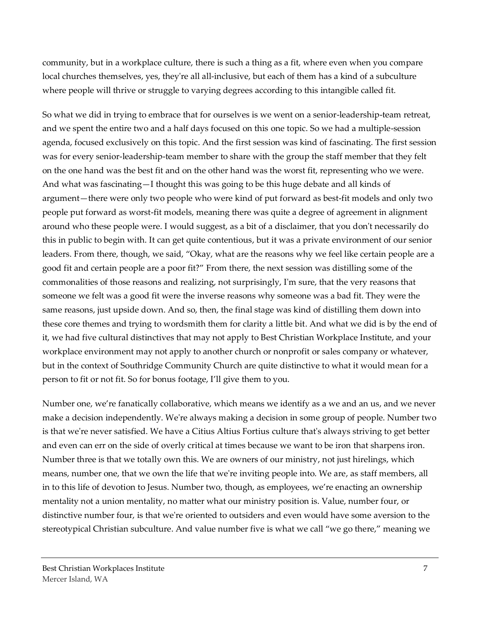community, but in a workplace culture, there is such a thing as a fit, where even when you compare local churches themselves, yes, they're all all-inclusive, but each of them has a kind of a subculture where people will thrive or struggle to varying degrees according to this intangible called fit.

So what we did in trying to embrace that for ourselves is we went on a senior-leadership-team retreat, and we spent the entire two and a half days focused on this one topic. So we had a multiple-session agenda, focused exclusively on this topic. And the first session was kind of fascinating. The first session was for every senior-leadership-team member to share with the group the staff member that they felt on the one hand was the best fit and on the other hand was the worst fit, representing who we were. And what was fascinating—I thought this was going to be this huge debate and all kinds of argument—there were only two people who were kind of put forward as best-fit models and only two people put forward as worst-fit models, meaning there was quite a degree of agreement in alignment around who these people were. I would suggest, as a bit of a disclaimer, that you don't necessarily do this in public to begin with. It can get quite contentious, but it was a private environment of our senior leaders. From there, though, we said, "Okay, what are the reasons why we feel like certain people are a good fit and certain people are a poor fit?" From there, the next session was distilling some of the commonalities of those reasons and realizing, not surprisingly, I'm sure, that the very reasons that someone we felt was a good fit were the inverse reasons why someone was a bad fit. They were the same reasons, just upside down. And so, then, the final stage was kind of distilling them down into these core themes and trying to wordsmith them for clarity a little bit. And what we did is by the end of it, we had five cultural distinctives that may not apply to Best Christian Workplace Institute, and your workplace environment may not apply to another church or nonprofit or sales company or whatever, but in the context of Southridge Community Church are quite distinctive to what it would mean for a person to fit or not fit. So for bonus footage, I'll give them to you.

Number one, we're fanatically collaborative, which means we identify as a we and an us, and we never make a decision independently. We're always making a decision in some group of people. Number two is that we're never satisfied. We have a Citius Altius Fortius culture that's always striving to get better and even can err on the side of overly critical at times because we want to be iron that sharpens iron. Number three is that we totally own this. We are owners of our ministry, not just hirelings, which means, number one, that we own the life that we're inviting people into. We are, as staff members, all in to this life of devotion to Jesus. Number two, though, as employees, we're enacting an ownership mentality not a union mentality, no matter what our ministry position is. Value, number four, or distinctive number four, is that we're oriented to outsiders and even would have some aversion to the stereotypical Christian subculture. And value number five is what we call "we go there," meaning we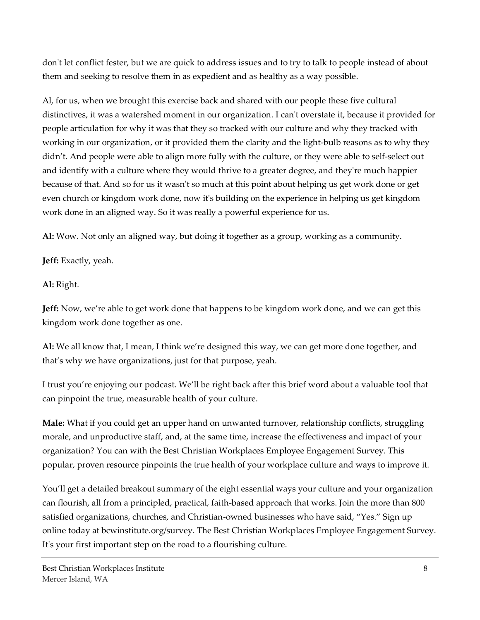don't let conflict fester, but we are quick to address issues and to try to talk to people instead of about them and seeking to resolve them in as expedient and as healthy as a way possible.

Al, for us, when we brought this exercise back and shared with our people these five cultural distinctives, it was a watershed moment in our organization. I can't overstate it, because it provided for people articulation for why it was that they so tracked with our culture and why they tracked with working in our organization, or it provided them the clarity and the light-bulb reasons as to why they didn't. And people were able to align more fully with the culture, or they were able to self-select out and identify with a culture where they would thrive to a greater degree, and they're much happier because of that. And so for us it wasn't so much at this point about helping us get work done or get even church or kingdom work done, now it's building on the experience in helping us get kingdom work done in an aligned way. So it was really a powerful experience for us.

**Al:** Wow. Not only an aligned way, but doing it together as a group, working as a community.

**Jeff:** Exactly, yeah.

**Al:** Right.

**Jeff:** Now, we're able to get work done that happens to be kingdom work done, and we can get this kingdom work done together as one.

**Al:** We all know that, I mean, I think we're designed this way, we can get more done together, and that's why we have organizations, just for that purpose, yeah.

I trust you're enjoying our podcast. We'll be right back after this brief word about a valuable tool that can pinpoint the true, measurable health of your culture.

**Male:** What if you could get an upper hand on unwanted turnover, relationship conflicts, struggling morale, and unproductive staff, and, at the same time, increase the effectiveness and impact of your organization? You can with the Best Christian Workplaces Employee Engagement Survey. This popular, proven resource pinpoints the true health of your workplace culture and ways to improve it.

You'll get a detailed breakout summary of the eight essential ways your culture and your organization can flourish, all from a principled, practical, faith-based approach that works. Join the more than 800 satisfied organizations, churches, and Christian-owned businesses who have said, "Yes." Sign up online today at bcwinstitute.org/survey. The Best Christian Workplaces Employee Engagement Survey. It's your first important step on the road to a flourishing culture.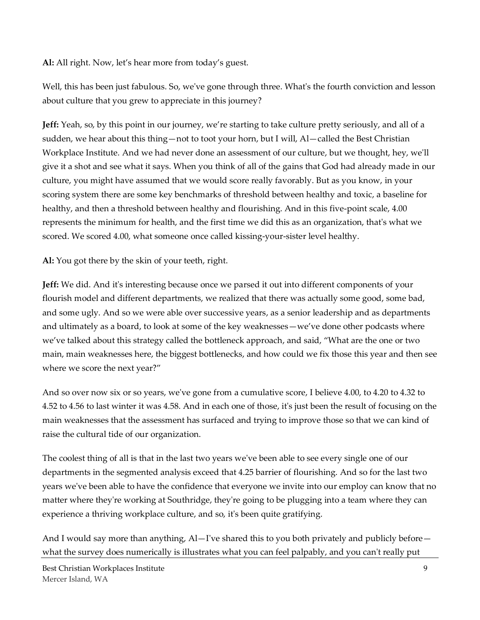**Al:** All right. Now, let's hear more from today's guest.

Well, this has been just fabulous. So, we've gone through three. What's the fourth conviction and lesson about culture that you grew to appreciate in this journey?

**Jeff:** Yeah, so, by this point in our journey, we're starting to take culture pretty seriously, and all of a sudden, we hear about this thing—not to toot your horn, but I will, Al—called the Best Christian Workplace Institute. And we had never done an assessment of our culture, but we thought, hey, we'll give it a shot and see what it says. When you think of all of the gains that God had already made in our culture, you might have assumed that we would score really favorably. But as you know, in your scoring system there are some key benchmarks of threshold between healthy and toxic, a baseline for healthy, and then a threshold between healthy and flourishing. And in this five-point scale, 4.00 represents the minimum for health, and the first time we did this as an organization, that's what we scored. We scored 4.00, what someone once called kissing-your-sister level healthy.

**Al:** You got there by the skin of your teeth, right.

**Jeff:** We did. And it's interesting because once we parsed it out into different components of your flourish model and different departments, we realized that there was actually some good, some bad, and some ugly. And so we were able over successive years, as a senior leadership and as departments and ultimately as a board, to look at some of the key weaknesses—we've done other podcasts where we've talked about this strategy called the bottleneck approach, and said, "What are the one or two main, main weaknesses here, the biggest bottlenecks, and how could we fix those this year and then see where we score the next year?"

And so over now six or so years, we've gone from a cumulative score, I believe 4.00, to 4.20 to 4.32 to 4.52 to 4.56 to last winter it was 4.58. And in each one of those, it's just been the result of focusing on the main weaknesses that the assessment has surfaced and trying to improve those so that we can kind of raise the cultural tide of our organization.

The coolest thing of all is that in the last two years we've been able to see every single one of our departments in the segmented analysis exceed that 4.25 barrier of flourishing. And so for the last two years we've been able to have the confidence that everyone we invite into our employ can know that no matter where they're working at Southridge, they're going to be plugging into a team where they can experience a thriving workplace culture, and so, it's been quite gratifying.

And I would say more than anything, Al-I've shared this to you both privately and publicly before what the survey does numerically is illustrates what you can feel palpably, and you can't really put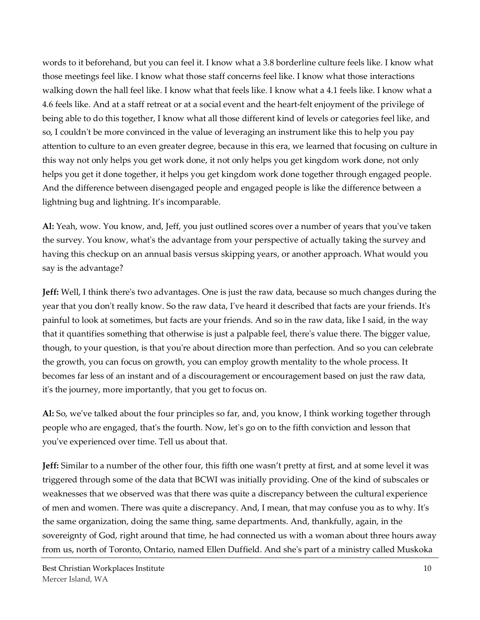words to it beforehand, but you can feel it. I know what a 3.8 borderline culture feels like. I know what those meetings feel like. I know what those staff concerns feel like. I know what those interactions walking down the hall feel like. I know what that feels like. I know what a 4.1 feels like. I know what a 4.6 feels like. And at a staff retreat or at a social event and the heart-felt enjoyment of the privilege of being able to do this together, I know what all those different kind of levels or categories feel like, and so, I couldn't be more convinced in the value of leveraging an instrument like this to help you pay attention to culture to an even greater degree, because in this era, we learned that focusing on culture in this way not only helps you get work done, it not only helps you get kingdom work done, not only helps you get it done together, it helps you get kingdom work done together through engaged people. And the difference between disengaged people and engaged people is like the difference between a lightning bug and lightning. It's incomparable.

**Al:** Yeah, wow. You know, and, Jeff, you just outlined scores over a number of years that you've taken the survey. You know, what's the advantage from your perspective of actually taking the survey and having this checkup on an annual basis versus skipping years, or another approach. What would you say is the advantage?

**Jeff:** Well, I think there's two advantages. One is just the raw data, because so much changes during the year that you don't really know. So the raw data, I've heard it described that facts are your friends. It's painful to look at sometimes, but facts are your friends. And so in the raw data, like I said, in the way that it quantifies something that otherwise is just a palpable feel, there's value there. The bigger value, though, to your question, is that you're about direction more than perfection. And so you can celebrate the growth, you can focus on growth, you can employ growth mentality to the whole process. It becomes far less of an instant and of a discouragement or encouragement based on just the raw data, it's the journey, more importantly, that you get to focus on.

**Al:** So, we've talked about the four principles so far, and, you know, I think working together through people who are engaged, that's the fourth. Now, let's go on to the fifth conviction and lesson that you've experienced over time. Tell us about that.

**Jeff:** Similar to a number of the other four, this fifth one wasn't pretty at first, and at some level it was triggered through some of the data that BCWI was initially providing. One of the kind of subscales or weaknesses that we observed was that there was quite a discrepancy between the cultural experience of men and women. There was quite a discrepancy. And, I mean, that may confuse you as to why. It's the same organization, doing the same thing, same departments. And, thankfully, again, in the sovereignty of God, right around that time, he had connected us with a woman about three hours away from us, north of Toronto, Ontario, named Ellen Duffield. And she's part of a ministry called Muskoka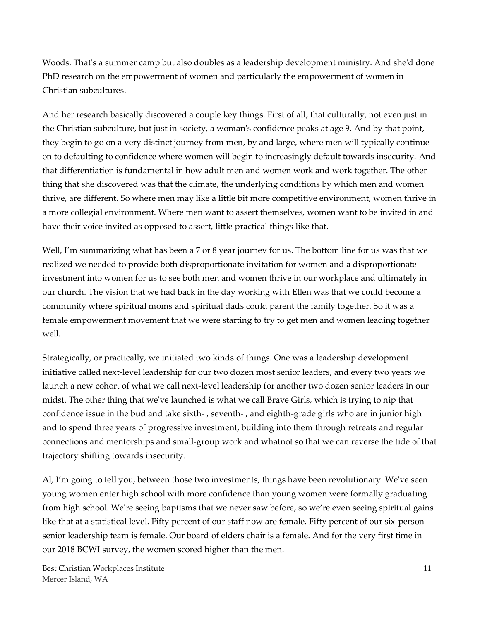Woods. That's a summer camp but also doubles as a leadership development ministry. And she'd done PhD research on the empowerment of women and particularly the empowerment of women in Christian subcultures.

And her research basically discovered a couple key things. First of all, that culturally, not even just in the Christian subculture, but just in society, a woman's confidence peaks at age 9. And by that point, they begin to go on a very distinct journey from men, by and large, where men will typically continue on to defaulting to confidence where women will begin to increasingly default towards insecurity. And that differentiation is fundamental in how adult men and women work and work together. The other thing that she discovered was that the climate, the underlying conditions by which men and women thrive, are different. So where men may like a little bit more competitive environment, women thrive in a more collegial environment. Where men want to assert themselves, women want to be invited in and have their voice invited as opposed to assert, little practical things like that.

Well, I'm summarizing what has been a 7 or 8 year journey for us. The bottom line for us was that we realized we needed to provide both disproportionate invitation for women and a disproportionate investment into women for us to see both men and women thrive in our workplace and ultimately in our church. The vision that we had back in the day working with Ellen was that we could become a community where spiritual moms and spiritual dads could parent the family together. So it was a female empowerment movement that we were starting to try to get men and women leading together well.

Strategically, or practically, we initiated two kinds of things. One was a leadership development initiative called next-level leadership for our two dozen most senior leaders, and every two years we launch a new cohort of what we call next-level leadership for another two dozen senior leaders in our midst. The other thing that we've launched is what we call Brave Girls, which is trying to nip that confidence issue in the bud and take sixth- , seventh- , and eighth-grade girls who are in junior high and to spend three years of progressive investment, building into them through retreats and regular connections and mentorships and small-group work and whatnot so that we can reverse the tide of that trajectory shifting towards insecurity.

Al, I'm going to tell you, between those two investments, things have been revolutionary. We've seen young women enter high school with more confidence than young women were formally graduating from high school. We're seeing baptisms that we never saw before, so we're even seeing spiritual gains like that at a statistical level. Fifty percent of our staff now are female. Fifty percent of our six-person senior leadership team is female. Our board of elders chair is a female. And for the very first time in our 2018 BCWI survey, the women scored higher than the men.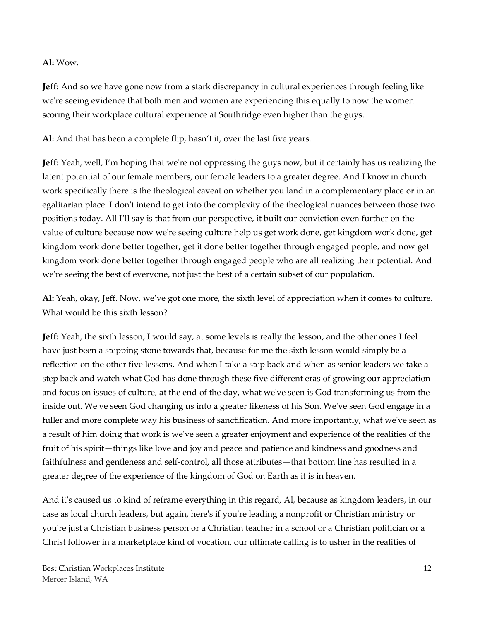### **Al:** Wow.

**Jeff:** And so we have gone now from a stark discrepancy in cultural experiences through feeling like we're seeing evidence that both men and women are experiencing this equally to now the women scoring their workplace cultural experience at Southridge even higher than the guys.

**Al:** And that has been a complete flip, hasn't it, over the last five years.

**Jeff:** Yeah, well, I'm hoping that we're not oppressing the guys now, but it certainly has us realizing the latent potential of our female members, our female leaders to a greater degree. And I know in church work specifically there is the theological caveat on whether you land in a complementary place or in an egalitarian place. I don't intend to get into the complexity of the theological nuances between those two positions today. All I'll say is that from our perspective, it built our conviction even further on the value of culture because now we're seeing culture help us get work done, get kingdom work done, get kingdom work done better together, get it done better together through engaged people, and now get kingdom work done better together through engaged people who are all realizing their potential. And we're seeing the best of everyone, not just the best of a certain subset of our population.

**Al:** Yeah, okay, Jeff. Now, we've got one more, the sixth level of appreciation when it comes to culture. What would be this sixth lesson?

**Jeff:** Yeah, the sixth lesson, I would say, at some levels is really the lesson, and the other ones I feel have just been a stepping stone towards that, because for me the sixth lesson would simply be a reflection on the other five lessons. And when I take a step back and when as senior leaders we take a step back and watch what God has done through these five different eras of growing our appreciation and focus on issues of culture, at the end of the day, what we've seen is God transforming us from the inside out. We've seen God changing us into a greater likeness of his Son. We've seen God engage in a fuller and more complete way his business of sanctification. And more importantly, what we've seen as a result of him doing that work is we've seen a greater enjoyment and experience of the realities of the fruit of his spirit—things like love and joy and peace and patience and kindness and goodness and faithfulness and gentleness and self-control, all those attributes—that bottom line has resulted in a greater degree of the experience of the kingdom of God on Earth as it is in heaven.

And it's caused us to kind of reframe everything in this regard, Al, because as kingdom leaders, in our case as local church leaders, but again, here's if you're leading a nonprofit or Christian ministry or you're just a Christian business person or a Christian teacher in a school or a Christian politician or a Christ follower in a marketplace kind of vocation, our ultimate calling is to usher in the realities of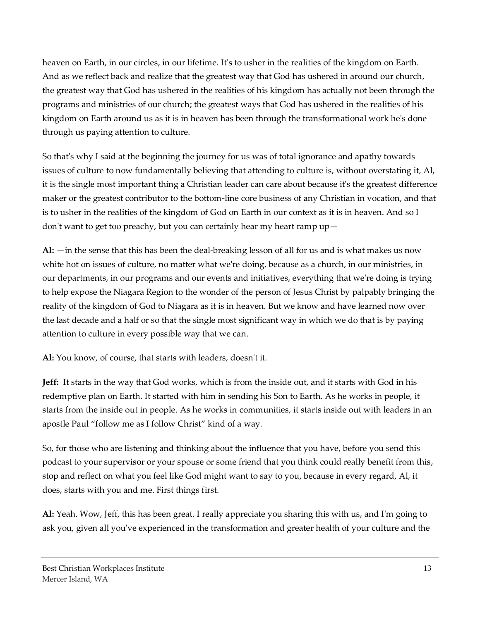heaven on Earth, in our circles, in our lifetime. It's to usher in the realities of the kingdom on Earth. And as we reflect back and realize that the greatest way that God has ushered in around our church, the greatest way that God has ushered in the realities of his kingdom has actually not been through the programs and ministries of our church; the greatest ways that God has ushered in the realities of his kingdom on Earth around us as it is in heaven has been through the transformational work he's done through us paying attention to culture.

So that's why I said at the beginning the journey for us was of total ignorance and apathy towards issues of culture to now fundamentally believing that attending to culture is, without overstating it, Al, it is the single most important thing a Christian leader can care about because it's the greatest difference maker or the greatest contributor to the bottom-line core business of any Christian in vocation, and that is to usher in the realities of the kingdom of God on Earth in our context as it is in heaven. And so I don't want to get too preachy, but you can certainly hear my heart ramp up—

**Al:** —in the sense that this has been the deal-breaking lesson of all for us and is what makes us now white hot on issues of culture, no matter what we're doing, because as a church, in our ministries, in our departments, in our programs and our events and initiatives, everything that we're doing is trying to help expose the Niagara Region to the wonder of the person of Jesus Christ by palpably bringing the reality of the kingdom of God to Niagara as it is in heaven. But we know and have learned now over the last decade and a half or so that the single most significant way in which we do that is by paying attention to culture in every possible way that we can.

**Al:** You know, of course, that starts with leaders, doesn't it.

**Jeff:** It starts in the way that God works, which is from the inside out, and it starts with God in his redemptive plan on Earth. It started with him in sending his Son to Earth. As he works in people, it starts from the inside out in people. As he works in communities, it starts inside out with leaders in an apostle Paul "follow me as I follow Christ" kind of a way.

So, for those who are listening and thinking about the influence that you have, before you send this podcast to your supervisor or your spouse or some friend that you think could really benefit from this, stop and reflect on what you feel like God might want to say to you, because in every regard, Al, it does, starts with you and me. First things first.

**Al:** Yeah. Wow, Jeff, this has been great. I really appreciate you sharing this with us, and I'm going to ask you, given all you've experienced in the transformation and greater health of your culture and the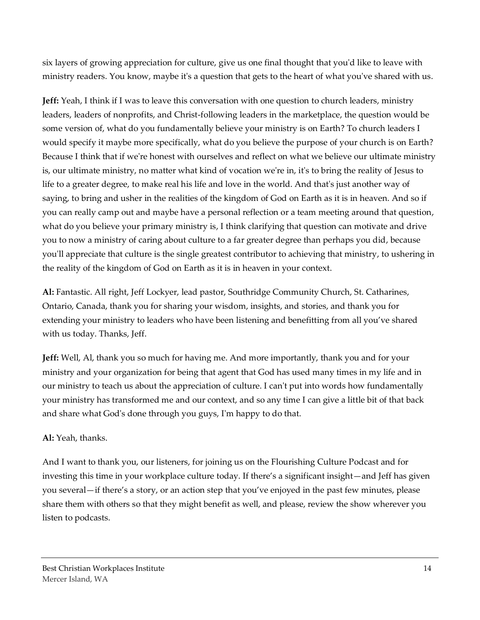six layers of growing appreciation for culture, give us one final thought that you'd like to leave with ministry readers. You know, maybe it's a question that gets to the heart of what you've shared with us.

**Jeff:** Yeah, I think if I was to leave this conversation with one question to church leaders, ministry leaders, leaders of nonprofits, and Christ-following leaders in the marketplace, the question would be some version of, what do you fundamentally believe your ministry is on Earth? To church leaders I would specify it maybe more specifically, what do you believe the purpose of your church is on Earth? Because I think that if we're honest with ourselves and reflect on what we believe our ultimate ministry is, our ultimate ministry, no matter what kind of vocation we're in, it's to bring the reality of Jesus to life to a greater degree, to make real his life and love in the world. And that's just another way of saying, to bring and usher in the realities of the kingdom of God on Earth as it is in heaven. And so if you can really camp out and maybe have a personal reflection or a team meeting around that question, what do you believe your primary ministry is, I think clarifying that question can motivate and drive you to now a ministry of caring about culture to a far greater degree than perhaps you did, because you'll appreciate that culture is the single greatest contributor to achieving that ministry, to ushering in the reality of the kingdom of God on Earth as it is in heaven in your context.

**Al:** Fantastic. All right, Jeff Lockyer, lead pastor, Southridge Community Church, St. Catharines, Ontario, Canada, thank you for sharing your wisdom, insights, and stories, and thank you for extending your ministry to leaders who have been listening and benefitting from all you've shared with us today. Thanks, Jeff.

**Jeff:** Well, Al, thank you so much for having me. And more importantly, thank you and for your ministry and your organization for being that agent that God has used many times in my life and in our ministry to teach us about the appreciation of culture. I can't put into words how fundamentally your ministry has transformed me and our context, and so any time I can give a little bit of that back and share what God's done through you guys, I'm happy to do that.

# **Al:** Yeah, thanks.

And I want to thank you, our listeners, for joining us on the Flourishing Culture Podcast and for investing this time in your workplace culture today. If there's a significant insight—and Jeff has given you several—if there's a story, or an action step that you've enjoyed in the past few minutes, please share them with others so that they might benefit as well, and please, review the show wherever you listen to podcasts.